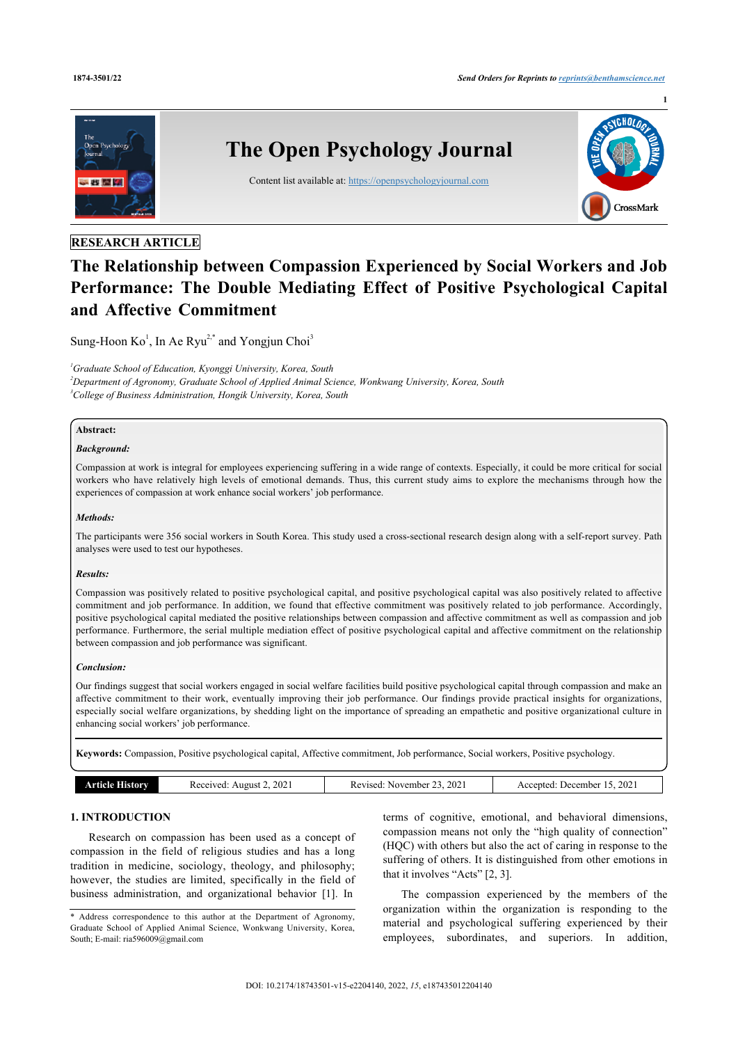

# **The Relationship between Compassion Experienced by Social Workers and Job Performance: The Double Mediating Effect of Positive Psychological Capital and Affective Commitment**

Sung-Hoon  $\text{Ko}^1$  $\text{Ko}^1$ , In Ae Ryu<sup>[2,](#page--1-0)[\\*](#page-0-1)</sup> and Yongjun Choi<sup>[3](#page--1-0)</sup>

<span id="page-0-0"></span>*<sup>1</sup>Graduate School of Education, Kyonggi University, Korea, South <sup>2</sup>Department of Agronomy, Graduate School of Applied Animal Science, Wonkwang University, Korea, South <sup>3</sup>College of Business Administration, Hongik University, Korea, South*

# **Abstract:**

## *Background:*

Compassion at work is integral for employees experiencing suffering in a wide range of contexts. Especially, it could be more critical for social workers who have relatively high levels of emotional demands. Thus, this current study aims to explore the mechanisms through how the experiences of compassion at work enhance social workers' job performance.

## *Methods:*

The participants were 356 social workers in South Korea. This study used a cross-sectional research design along with a self-report survey. Path analyses were used to test our hypotheses.

## *Results:*

Compassion was positively related to positive psychological capital, and positive psychological capital was also positively related to affective commitment and job performance. In addition, we found that effective commitment was positively related to job performance. Accordingly, positive psychological capital mediated the positive relationships between compassion and affective commitment as well as compassion and job performance. Furthermore, the serial multiple mediation effect of positive psychological capital and affective commitment on the relationship between compassion and job performance was significant.

## *Conclusion:*

Our findings suggest that social workers engaged in social welfare facilities build positive psychological capital through compassion and make an affective commitment to their work, eventually improving their job performance. Our findings provide practical insights for organizations, especially social welfare organizations, by shedding light on the importance of spreading an empathetic and positive organizational culture in enhancing social workers' job performance.

**Keywords:** Compassion, Positive psychological capital, Affective commitment, Job performance, Social workers, Positive psychology.

|  | Article F<br>History | 2. 2021<br>Received<br>August | 2021<br>. November 1<br>Revised. | 2021<br>December<br>Accepted: |
|--|----------------------|-------------------------------|----------------------------------|-------------------------------|
|--|----------------------|-------------------------------|----------------------------------|-------------------------------|

## **1. INTRODUCTION**

Research on compassion has been used as a concept of compassion in the field of religious studies and has a long tradition in medicine, sociology, theology, and philosophy; however, the studies are limited, specifically in the field of business administration, and organizational behavior [[1](#page-6-0)]. In

terms of cognitive, emotional, and behavioral dimensions, compassion means not only the "high quality of connection" (HQC) with others but also the act of caring in response to the suffering of others. It is distinguished from other emotions in that it involves "Acts" [\[2,](#page-6-1) [3\]](#page-6-2).

The compassion experienced by the members of the organization within the organization is responding to the material and psychological suffering experienced by their employees, subordinates, and superiors. In addition,

<span id="page-0-1"></span><sup>\*</sup> Address correspondence to this author at the Department of Agronomy, Graduate School of Applied Animal Science, Wonkwang University, Korea, South; E-mail: [ria596009@gmail.com](mailto:ria596009@gmail.com)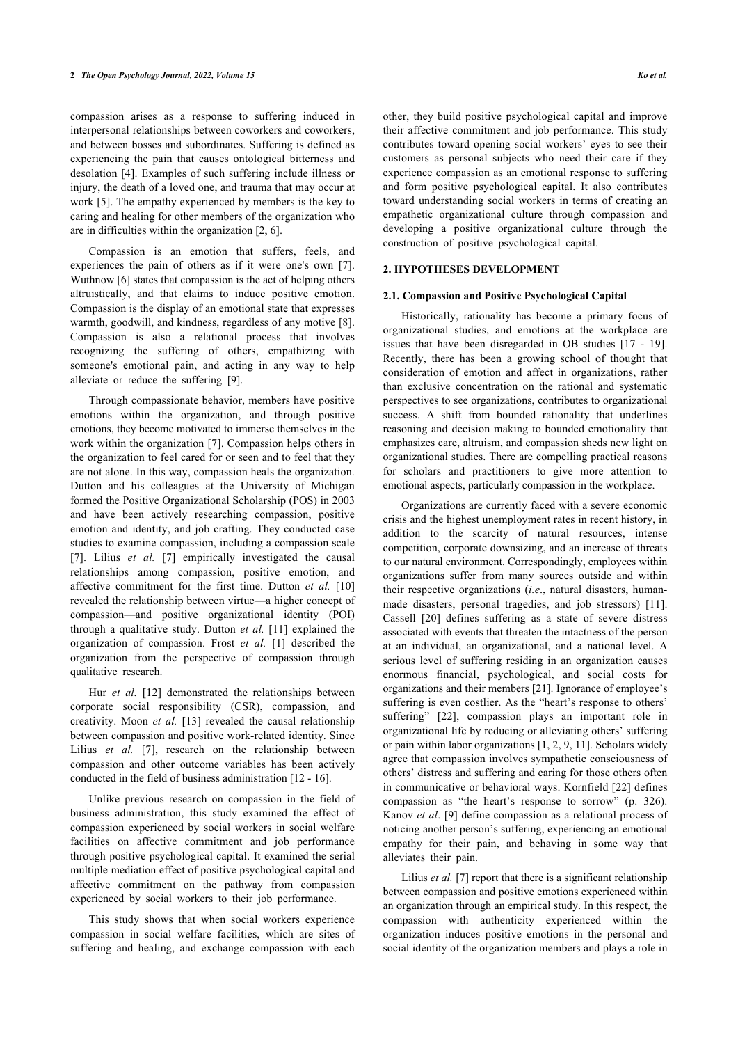compassion arises as a response to suffering induced in interpersonal relationships between coworkers and coworkers, and between bosses and subordinates. Suffering is defined as experiencing the pain that causes ontological bitterness and desolation [[4\]](#page-6-3). Examples of such suffering include illness or injury, the death of a loved one, and trauma that may occur at work [\[5\]](#page-6-4). The empathy experienced by members is the key to caring and healing for other members of the organization who are in difficulties within the organization [\[2,](#page-6-1) [6\]](#page-6-5).

Compassion is an emotion that suffers, feels, and experiences the pain of others as if it were one's own [\[7\]](#page-6-6). Wuthnow [[6](#page-6-5)] states that compassion is the act of helping others altruistically, and that claims to induce positive emotion. Compassion is the display of an emotional state that expresses warmth, goodwill, and kindness, regardless of any motive [\[8\]](#page-7-0). Compassion is also a relational process that involves recognizing the suffering of others, empathizing with someone's emotional pain, and acting in any way to help alleviate or reduce the suffering [\[9\]](#page-7-1).

Through compassionate behavior, members have positive emotions within the organization, and through positive emotions, they become motivated to immerse themselves in the work within the organization [[7](#page-6-6)]. Compassion helps others in the organization to feel cared for or seen and to feel that they are not alone. In this way, compassion heals the organization. Dutton and his colleagues at the University of Michigan formed the Positive Organizational Scholarship (POS) in 2003 and have been actively researching compassion, positive emotion and identity, and job crafting. They conducted case studies to examine compassion, including a compassion scale [[7](#page-6-6)]. Lilius *et al.* [\[7\]](#page-6-6) empirically investigated the causal relationships among compassion, positive emotion, and affective commitment for the first time. Dutton *et al.* [[10](#page-7-2)] revealed the relationship between virtue—a higher concept of compassion—and positive organizational identity (POI) through a qualitative study. Dutton *et al.* [[11](#page-7-3)] explained the organization of compassion. Frost *et al.* [[1](#page-6-0)] described the organization from the perspective of compassion through qualitative research.

Hur *et al.* [[12](#page-7-4)] demonstrated the relationships between corporate social responsibility (CSR), compassion, and creativity. Moon *et al.* [[13](#page-7-5)] revealed the causal relationship between compassion and positive work-related identity. Since Lilius *et al.* [[7](#page-6-6)], research on the relationship between compassion and other outcome variables has been actively conducted in the field of business administration [[12](#page-7-4) - [16](#page-7-6)].

Unlike previous research on compassion in the field of business administration, this study examined the effect of compassion experienced by social workers in social welfare facilities on affective commitment and job performance through positive psychological capital. It examined the serial multiple mediation effect of positive psychological capital and affective commitment on the pathway from compassion experienced by social workers to their job performance.

This study shows that when social workers experience compassion in social welfare facilities, which are sites of suffering and healing, and exchange compassion with each other, they build positive psychological capital and improve their affective commitment and job performance. This study contributes toward opening social workers' eyes to see their customers as personal subjects who need their care if they experience compassion as an emotional response to suffering and form positive psychological capital. It also contributes toward understanding social workers in terms of creating an empathetic organizational culture through compassion and developing a positive organizational culture through the construction of positive psychological capital.

## **2. HYPOTHESES DEVELOPMENT**

## **2.1. Compassion and Positive Psychological Capital**

Historically, rationality has become a primary focus of organizational studies, and emotions at the workplace are issues that have been disregarded in OB studies[[17](#page-7-7) - [19](#page-7-8)]. Recently, there has been a growing school of thought that consideration of emotion and affect in organizations, rather than exclusive concentration on the rational and systematic perspectives to see organizations, contributes to organizational success. A shift from bounded rationality that underlines reasoning and decision making to bounded emotionality that emphasizes care, altruism, and compassion sheds new light on organizational studies. There are compelling practical reasons for scholars and practitioners to give more attention to emotional aspects, particularly compassion in the workplace.

Organizations are currently faced with a severe economic crisis and the highest unemployment rates in recent history, in addition to the scarcity of natural resources, intense competition, corporate downsizing, and an increase of threats to our natural environment. Correspondingly, employees within organizations suffer from many sources outside and within their respective organizations (*i.e*., natural disasters, humanmade disasters, personal tragedies, and job stressors)[[11](#page-7-3)]. Cassell [\[20](#page-7-9)] defines suffering as a state of severe distress associated with events that threaten the intactness of the person at an individual, an organizational, and a national level. A serious level of suffering residing in an organization causes enormous financial, psychological, and social costs for organizations and their members [\[21](#page-7-10)]. Ignorance of employee's suffering is even costlier. As the "heart's response to others' suffering"[[22](#page-7-11)], compassion plays an important role in organizational life by reducing or alleviating others' suffering or pain within labor organizations [[1](#page-6-0), [2](#page-6-1), [9](#page-7-1), [11](#page-7-3)]. Scholars widely agree that compassion involves sympathetic consciousness of others' distress and suffering and caring for those others often in communicative or behavioral ways. Kornfield [[22](#page-7-11)] defines compassion as "the heart's response to sorrow" (p. 326). Kanov *et al*. [[9](#page-7-1)] define compassion as a relational process of noticing another person's suffering, experiencing an emotional empathy for their pain, and behaving in some way that alleviates their pain.

Lilius *et al.* [[7](#page-6-6)] report that there is a significant relationship between compassion and positive emotions experienced within an organization through an empirical study. In this respect, the compassion with authenticity experienced within the organization induces positive emotions in the personal and social identity of the organization members and plays a role in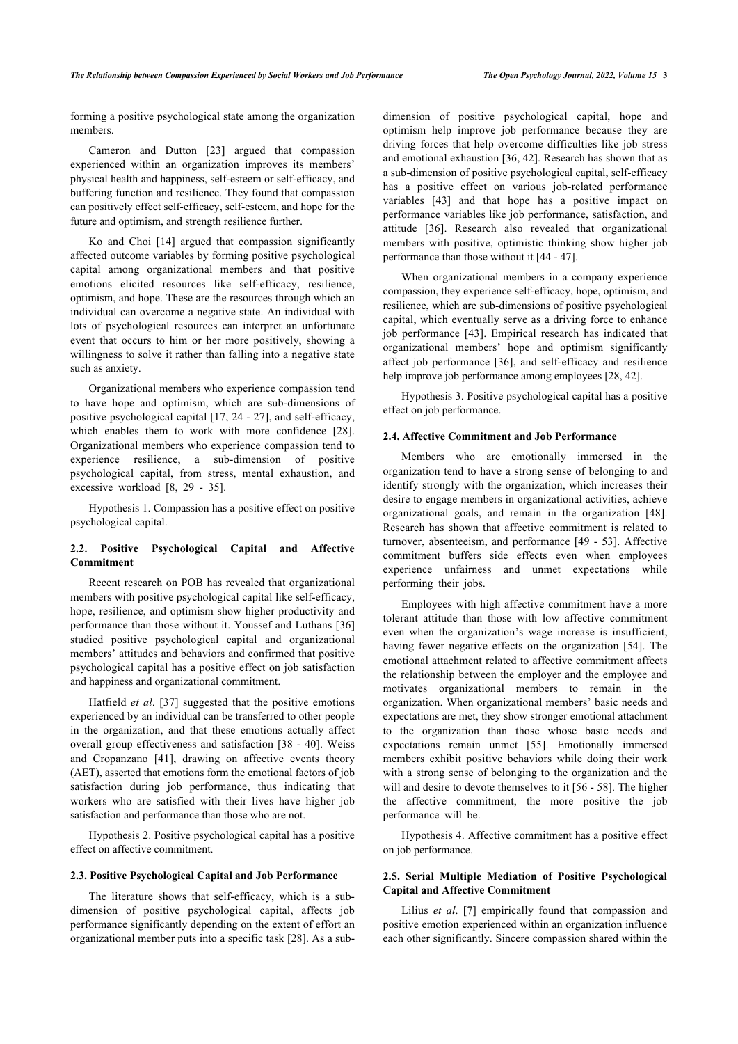forming a positive psychological state among the organization members.

Cameron and Dutton[[23\]](#page-7-12) argued that compassion experienced within an organization improves its members' physical health and happiness, self-esteem or self-efficacy, and buffering function and resilience. They found that compassion can positively effect self-efficacy, self-esteem, and hope for the future and optimism, and strength resilience further.

Ko and Choi [\[14](#page-7-13)] argued that compassion significantly affected outcome variables by forming positive psychological capital among organizational members and that positive emotions elicited resources like self-efficacy, resilience, optimism, and hope. These are the resources through which an individual can overcome a negative state. An individual with lots of psychological resources can interpret an unfortunate event that occurs to him or her more positively, showing a willingness to solve it rather than falling into a negative state such as anxiety.

Organizational members who experience compassion tend to have hope and optimism, which are sub-dimensions of positive psychological capital [[17](#page-7-7), [24](#page-7-14) - [27\]](#page-7-15), and self-efficacy, which enables them to work with more confidence[[28\]](#page-7-16). Organizational members who experience compassion tend to experience resilience, a sub-dimension of positive psychological capital, from stress, mental exhaustion, and excessive workload[[8](#page-7-0), [29](#page-7-17) - [35](#page-7-18)].

Hypothesis 1. Compassion has a positive effect on positive psychological capital.

# **2.2. Positive Psychological Capital and Affective Commitment**

Recent research on POB has revealed that organizational members with positive psychological capital like self-efficacy, hope, resilience, and optimism show higher productivity and performance than those without it. Youssef and Luthans [[36](#page-7-13)] studied positive psychological capital and organizational members' attitudes and behaviors and confirmed that positive psychological capital has a positive effect on job satisfaction and happiness and organizational commitment.

Hatfield *et al*.[[37](#page-7-19)] suggested that the positive emotions experienced by an individual can be transferred to other people in the organization, and that these emotions actually affect overall group effectiveness and satisfaction [[38](#page-7-20) - [40](#page-7-21)]. Weiss and Cropanzano[[41\]](#page-7-9), drawing on affective events theory (AET), asserted that emotions form the emotional factors of job satisfaction during job performance, thus indicating that workers who are satisfied with their lives have higher job satisfaction and performance than those who are not.

Hypothesis 2. Positive psychological capital has a positive effect on affective commitment.

## **2.3. Positive Psychological Capital and Job Performance**

The literature shows that self-efficacy, which is a subdimension of positive psychological capital, affects job performance significantly depending on the extent of effort an organizational member puts into a specific task [[28\]](#page-7-16). As a subdimension of positive psychological capital, hope and optimism help improve job performance because they are driving forces that help overcome difficulties like job stress and emotional exhaustion [\[36](#page-7-13), [42\]](#page-7-22). Research has shown that as a sub-dimension of positive psychological capital, self-efficacy has a positive effect on various job-related performance variables[[43\]](#page-7-23) and that hope has a positive impact on performance variables like job performance, satisfaction, and attitude [\[36](#page-7-13)]. Research also revealed that organizational members with positive, optimistic thinking show higher job performance than those without it [[44](#page-7-24) - [47](#page-7-25)].

When organizational members in a company experience compassion, they experience self-efficacy, hope, optimism, and resilience, which are sub-dimensions of positive psychological capital, which eventually serve as a driving force to enhance job performance[[43](#page-7-23)]. Empirical research has indicated that organizational members' hope and optimism significantly affect job performance [[36](#page-7-13)], and self-efficacy and resilience help improve job performance among employees [[28,](#page-7-16) [42](#page-7-22)].

Hypothesis 3. Positive psychological capital has a positive effect on job performance.

#### **2.4. Affective Commitment and Job Performance**

Members who are emotionally immersed in the organization tend to have a strong sense of belonging to and identify strongly with the organization, which increases their desire to engage members in organizational activities, achieve organizational goals, and remain in the organization[[48](#page-7-17)]. Research has shown that affective commitment is related to turnover, absenteeism, and performance [[49](#page-8-0) - [53\]](#page-8-1). Affective commitment buffers side effects even when employees experience unfairness and unmet expectations while performing their jobs.

Employees with high affective commitment have a more tolerant attitude than those with low affective commitment even when the organization's wage increase is insufficient, having fewer negative effects on the organization[[54](#page-8-2)]. The emotional attachment related to affective commitment affects the relationship between the employer and the employee and motivates organizational members to remain in the organization. When organizational members' basic needs and expectations are met, they show stronger emotional attachment to the organization than those whose basic needs and expectations remain unmet[[55](#page-8-3)]. Emotionally immersed members exhibit positive behaviors while doing their work with a strong sense of belonging to the organization and the will and desire to devote themselves to it [[56](#page-8-4) - [58\]](#page-8-5). The higher the affective commitment, the more positive the job performance will be.

Hypothesis 4. Affective commitment has a positive effect on job performance.

## **2.5. Serial Multiple Mediation of Positive Psychological Capital and Affective Commitment**

Lilius *et al*.[[7](#page-6-6)] empirically found that compassion and positive emotion experienced within an organization influence each other significantly. Sincere compassion shared within the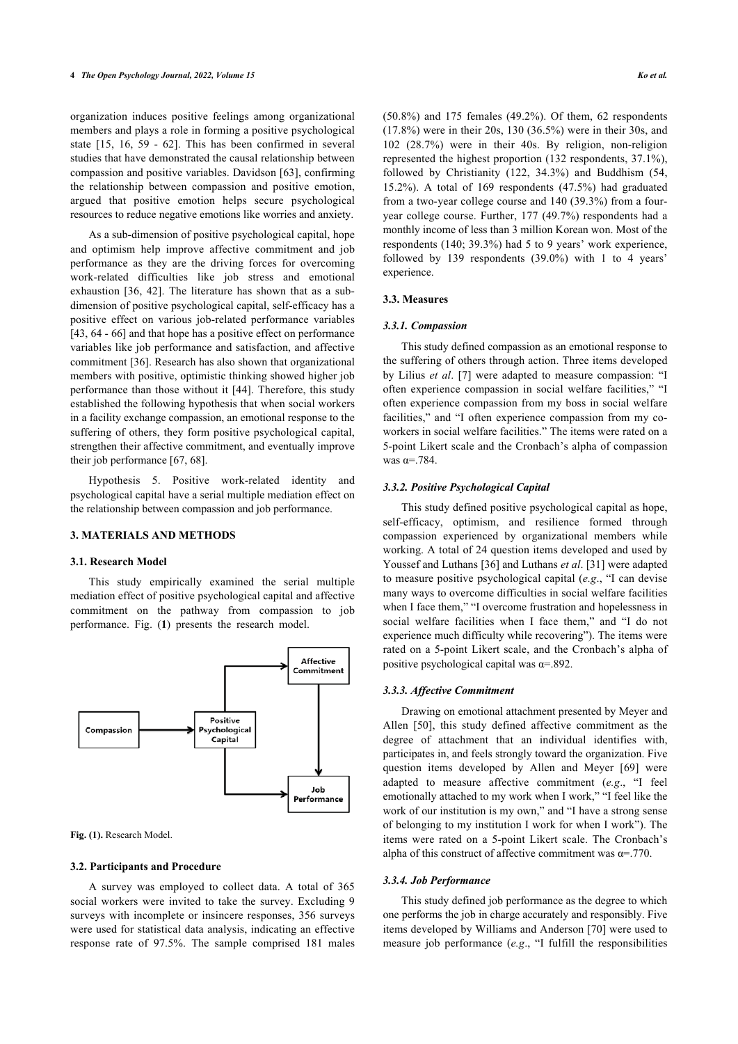organization induces positive feelings among organizational members and plays a role in forming a positive psychological state[[15,](#page-7-19) [16](#page-7-6), [59](#page-8-6) - [62\]](#page-8-7). This has been confirmed in several studies that have demonstrated the causal relationship between compassion and positive variables. Davidson [[63\]](#page-8-8), confirming the relationship between compassion and positive emotion, argued that positive emotion helps secure psychological resources to reduce negative emotions like worries and anxiety.

As a sub-dimension of positive psychological capital, hope and optimism help improve affective commitment and job performance as they are the driving forces for overcoming work-related difficulties like job stress and emotional exhaustion [\[36](#page-7-13), [42](#page-7-22)]. The literature has shown that as a subdimension of positive psychological capital, self-efficacy has a positive effect on various job-related performance variables [[43,](#page-7-23) [64](#page-8-9) - [66\]](#page-8-10) and that hope has a positive effect on performance variables like job performance and satisfaction, and affective commitment [[36](#page-7-13)]. Research has also shown that organizational members with positive, optimistic thinking showed higher job performance than those without it [\[44\]](#page-7-24). Therefore, this study established the following hypothesis that when social workers in a facility exchange compassion, an emotional response to the suffering of others, they form positive psychological capital, strengthen their affective commitment, and eventually improve their job performance [[67,](#page-8-11) [68](#page-8-12)].

Hypothesis 5. Positive work-related identity and psychological capital have a serial multiple mediation effect on the relationship between compassion and job performance.

## **3. MATERIALS AND METHODS**

## **3.1. Research Model**

This study empirically examined the serial multiple mediation effect of positive psychological capital and affective commitment on the pathway from compassion to job performance. Fig. (**[1](#page-3-0)**) presents the research model.

<span id="page-3-0"></span>

**Fig. (1).** Research Model.

## **3.2. Participants and Procedure**

A survey was employed to collect data. A total of 365 social workers were invited to take the survey. Excluding 9 surveys with incomplete or insincere responses, 356 surveys were used for statistical data analysis, indicating an effective response rate of 97.5%. The sample comprised 181 males (50.8%) and 175 females (49.2%). Of them, 62 respondents (17.8%) were in their 20s, 130 (36.5%) were in their 30s, and 102 (28.7%) were in their 40s. By religion, non-religion represented the highest proportion (132 respondents, 37.1%), followed by Christianity (122, 34.3%) and Buddhism (54, 15.2%). A total of 169 respondents (47.5%) had graduated from a two-year college course and 140 (39.3%) from a fouryear college course. Further, 177 (49.7%) respondents had a monthly income of less than 3 million Korean won. Most of the respondents (140; 39.3%) had 5 to 9 years' work experience, followed by 139 respondents (39.0%) with 1 to 4 years' experience.

#### **3.3. Measures**

#### *3.3.1. Compassion*

This study defined compassion as an emotional response to the suffering of others through action. Three items developed by Lilius *et al*. [[7](#page-6-6)] were adapted to measure compassion: "I often experience compassion in social welfare facilities," "I often experience compassion from my boss in social welfare facilities," and "I often experience compassion from my coworkers in social welfare facilities." The items were rated on a 5-point Likert scale and the Cronbach's alpha of compassion was  $\alpha = .784$ .

## *3.3.2. Positive Psychological Capital*

This study defined positive psychological capital as hope, self-efficacy, optimism, and resilience formed through compassion experienced by organizational members while working. A total of 24 question items developed and used by Youssef and Luthans [[36](#page-7-13)] and Luthans *et al*. [\[31](#page-7-26)] were adapted to measure positive psychological capital (*e.g*., "I can devise many ways to overcome difficulties in social welfare facilities when I face them," "I overcome frustration and hopelessness in social welfare facilities when I face them," and "I do not experience much difficulty while recovering"). The items were rated on a 5-point Likert scale, and the Cronbach's alpha of positive psychological capital was  $\alpha = 0.892$ .

## *3.3.3. Affective Commitment*

Drawing on emotional attachment presented by Meyer and Allen[[50\]](#page-8-13), this study defined affective commitment as the degree of attachment that an individual identifies with, participates in, and feels strongly toward the organization. Five question items developed by Allen and Meyer [\[69\]](#page-8-2) were adapted to measure affective commitment (*e.g*., "I feel emotionally attached to my work when I work," "I feel like the work of our institution is my own," and "I have a strong sense of belonging to my institution I work for when I work"). The items were rated on a 5-point Likert scale. The Cronbach's alpha of this construct of affective commitment was  $\alpha = .770$ .

#### *3.3.4. Job Performance*

This study defined job performance as the degree to which one performs the job in charge accurately and responsibly. Five items developed by Williams and Anderson [[70](#page-8-3)] were used to measure job performance (*e.g*., "I fulfill the responsibilities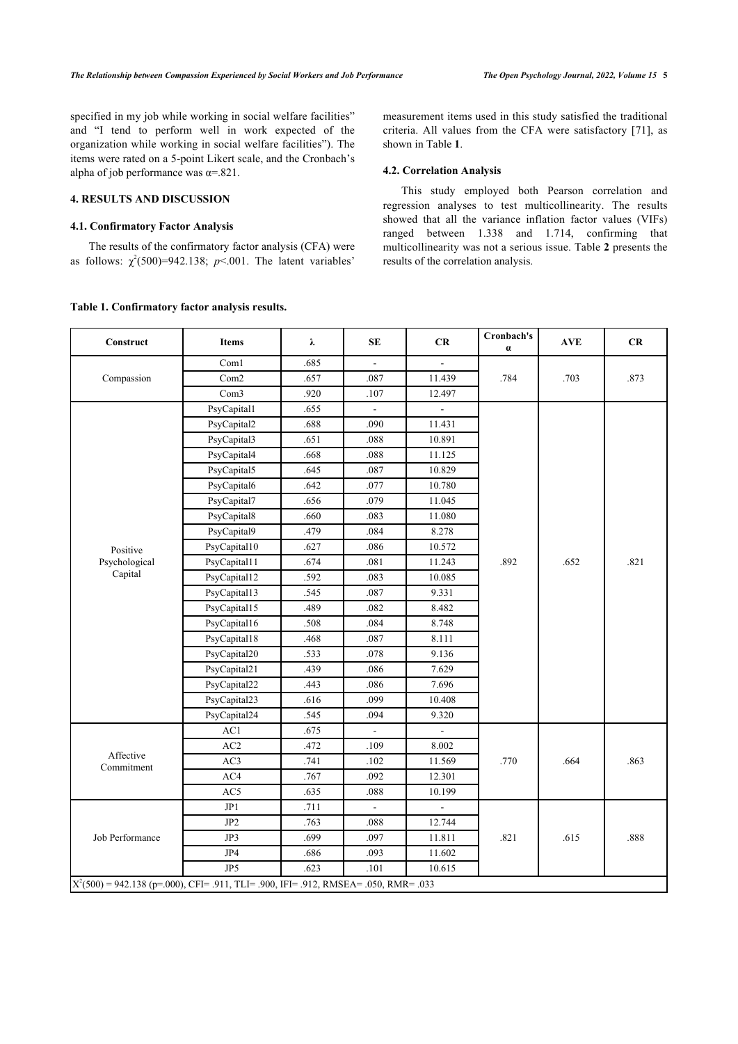specified in my job while working in social welfare facilities" and "I tend to perform well in work expected of the organization while working in social welfare facilities"). The items were rated on a 5-point Likert scale, and the Cronbach's alpha of job performance was  $\alpha = 821$ .

# **4. RESULTS AND DISCUSSION**

## **4.1. Confirmatory Factor Analysis**

The results of the confirmatory factor analysis (CFA) were as follows:  $\chi^2(500)=942.138$ ;  $p<0.001$ . The latent variables'

## <span id="page-4-0"></span>**Table 1. Confirmatory factor analysis results.**

measurement items used in this study satisfied the traditional criteria. All values from the CFA were satisfactory[[71\]](#page-8-4), as shown in Table **[1](#page-4-0)**.

## **4.2. Correlation Analysis**

This study employed both Pearson correlation and regression analyses to test multicollinearity. The results showed that all the variance inflation factor values (VIFs) ranged between 1.338 and 1.714, confirming that multicollinearity was not a serious issue. Table **[2](#page-4-1)** presents the results of the correlation analysis.

<span id="page-4-1"></span>

| Construct                                                                              | <b>Items</b>     | λ    | <b>SE</b>      | CR                       | Cronbach's<br>$\alpha$ | <b>AVE</b> | CR   |
|----------------------------------------------------------------------------------------|------------------|------|----------------|--------------------------|------------------------|------------|------|
| Compassion                                                                             | Com1             | .685 | $\overline{a}$ | $\overline{\phantom{a}}$ |                        | .703       |      |
|                                                                                        | Com <sub>2</sub> | .657 | .087           | 11.439                   | .784                   |            | .873 |
|                                                                                        | Com <sub>3</sub> | .920 | .107           | 12.497                   |                        |            |      |
|                                                                                        | PsyCapital1      | .655 |                |                          |                        |            |      |
|                                                                                        | PsyCapital2      | .688 | .090           | 11.431                   |                        |            |      |
|                                                                                        | PsyCapital3      | .651 | .088           | 10.891                   |                        |            |      |
|                                                                                        | PsyCapital4      | .668 | .088           | 11.125                   |                        |            |      |
|                                                                                        | PsyCapital5      | .645 | .087           | 10.829                   |                        |            |      |
|                                                                                        | PsyCapital6      | .642 | .077           | 10.780                   |                        |            |      |
|                                                                                        | PsyCapital7      | .656 | .079           | 11.045                   |                        |            |      |
|                                                                                        | PsyCapital8      | .660 | .083           | 11.080                   |                        |            |      |
|                                                                                        | PsyCapital9      | .479 | .084           | 8.278                    |                        |            |      |
| Positive                                                                               | PsyCapital10     | .627 | .086           | 10.572                   |                        |            |      |
| Psychological                                                                          | PsyCapital11     | .674 | .081           | 11.243                   | .892                   | .652       | .821 |
| Capital                                                                                | PsyCapital12     | .592 | .083           | 10.085                   |                        |            |      |
|                                                                                        | PsyCapital13     | .545 | .087           | 9.331                    |                        |            |      |
|                                                                                        | PsyCapital15     | .489 | .082           | 8.482                    |                        |            |      |
|                                                                                        | PsyCapital16     | .508 | .084           | 8.748                    |                        |            |      |
|                                                                                        | PsyCapital18     | .468 | .087           | 8.111                    |                        |            |      |
|                                                                                        | PsyCapital20     | .533 | .078           | 9.136                    |                        |            |      |
|                                                                                        | PsyCapital21     | .439 | .086           | 7.629                    |                        |            |      |
|                                                                                        | PsyCapital22     | .443 | .086           | 7.696                    |                        |            |      |
|                                                                                        | PsyCapital23     | .616 | .099           | 10.408                   |                        |            |      |
|                                                                                        | PsyCapital24     | .545 | .094           | 9.320                    |                        |            |      |
| Affective<br>Commitment                                                                | AC1              | .675 | $\overline{a}$ | $\Box$                   | .770                   | .664       | .863 |
|                                                                                        | AC <sub>2</sub>  | .472 | .109           | 8.002                    |                        |            |      |
|                                                                                        | AC3              | .741 | .102           | 11.569                   |                        |            |      |
|                                                                                        | AC4              | .767 | .092           | 12.301                   |                        |            |      |
|                                                                                        | AC5              | .635 | .088           | 10.199                   |                        |            |      |
|                                                                                        | JP1              | .711 |                | $\blacksquare$           |                        |            | .888 |
|                                                                                        | JP <sub>2</sub>  | .763 | .088           | 12.744                   |                        |            |      |
| Job Performance                                                                        | JP3              | .699 | .097           | 11.811                   | .821                   | .615       |      |
|                                                                                        | JP4              | .686 | .093           | 11.602                   |                        |            |      |
|                                                                                        | JP <sub>5</sub>  | .623 | .101           | 10.615                   |                        |            |      |
| $X^2(500) = 942.138$ (p=.000), CFI= .911, TLI= .900, IFI= .912, RMSEA= .050, RMR= .033 |                  |      |                |                          |                        |            |      |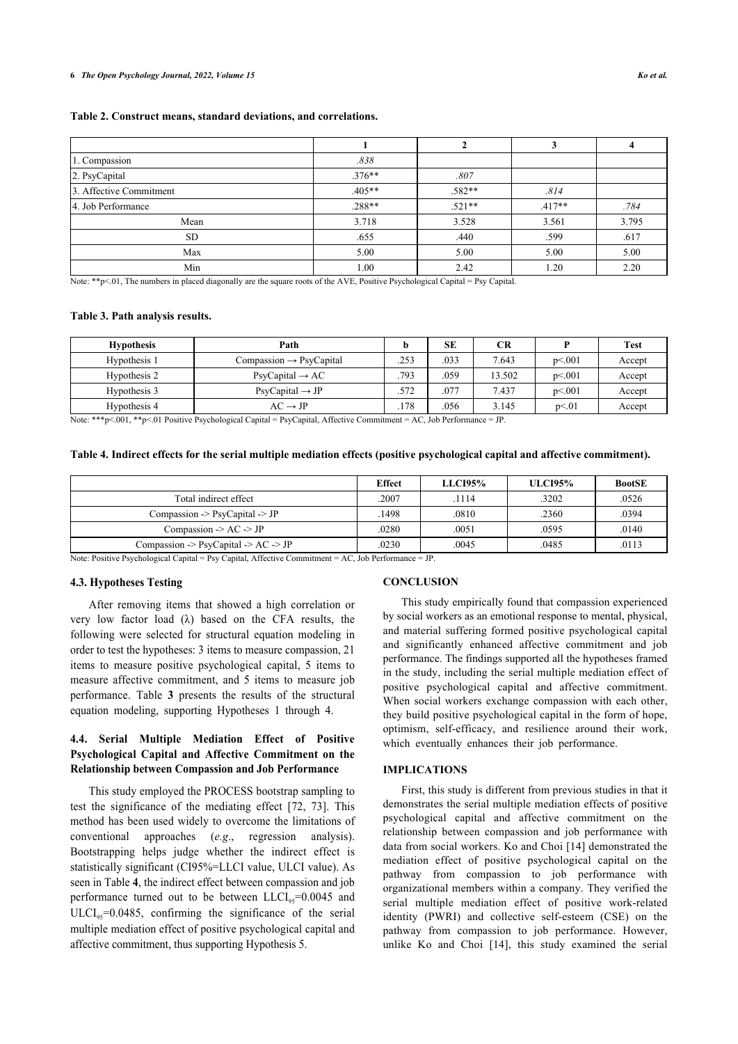#### **6** *The Open Psychology Journal, 2022, Volume 15 Ko et al.*

## **Table 2. Construct means, standard deviations, and correlations.**

| 1. Compassion           | .838     |          |          |       |
|-------------------------|----------|----------|----------|-------|
| 2. PsyCapital           | $.376**$ | .807     |          |       |
| 3. Affective Commitment | $.405**$ | .582**   | .814     |       |
| 4. Job Performance      | $.288**$ | $.521**$ | $.417**$ | .784  |
| Mean                    | 3.718    | 3.528    | 3.561    | 3.795 |
| <b>SD</b>               | .655     | .440     | .599     | .617  |
| Max                     | 5.00     | 5.00     | 5.00     | 5.00  |
| Min                     | 1.00     | 2.42     | 1.20     | 2.20  |

Note: \*\*p<.01, The numbers in placed diagonally are the square roots of the AVE, Positive Psychological Capital = Psy Capital.

#### <span id="page-5-0"></span>**Table 3. Path analysis results.**

| <b>Hypothesis</b> | Path                                  |      | <b>SE</b> | <b>CR</b> |        | <b>Test</b> |
|-------------------|---------------------------------------|------|-----------|-----------|--------|-------------|
| Hypothesis 1      | $Compassion \rightarrow \text{Psych}$ | .253 | .033      | 7.643     | p< 001 | Accept      |
| Hypothesis 2      | $Psych$ Capital $\rightarrow AC$      | .793 | 059       | 13.502    | p<.001 | Accept      |
| Hypothesis 3      | $Psych$ Capital $\rightarrow$ JP      | .572 | .077      | 7.437     | p<.001 | Accept      |
| Hypothesis 4      | $AC \rightarrow IP$                   | .178 | 056       | 3.145     | p<01   | Accept      |

Note: \*\*\*p<.001, \*\*p<.01 Positive Psychological Capital = PsyCapital, Affective Commitment = AC, Job Performance = JP.

## **Table 4. Indirect effects for the serial multiple mediation effects (positive psychological capital and affective commitment).**

|                                              | <b>Effect</b> | <b>LLCI95%</b> | <b>ULCI95%</b> | <b>BootSE</b> |
|----------------------------------------------|---------------|----------------|----------------|---------------|
| Total indirect effect                        | .2007         | .1114          | .3202          | .0526         |
| Compassion $\geq$ PsyCapital $\geq$ JP       | 1498          | .0810          | .2360          | .0394         |
| Compassion $\rightarrow$ AC $\rightarrow$ JP | .0280         | .0051          | .0595          | .0140         |
| Compassion $>$ PsyCapital $>$ AC $>$ JP      | .0230         | .0045          | .0485          | .0113         |

Note: Positive Psychological Capital = Psy Capital, Affective Commitment = AC, Job Performance = JP.

#### **4.3. Hypotheses Testing**

After removing items that showed a high correlation or very low factor load  $(\lambda)$  based on the CFA results, the following were selected for structural equation modeling in order to test the hypotheses: 3 items to measure compassion, 21 items to measure positive psychological capital, 5 items to measure affective commitment, and 5 items to measure job performance. Table**3** presents the results of the structural equation modeling, supporting Hypotheses 1 through 4.

# **4.4. Serial Multiple Mediation Effect of Positive Psychological Capital and Affective Commitment on the Relationship between Compassion and Job Performance**

This study employed the PROCESS bootstrap sampling to test the significance of the mediating effect [\[72,](#page-8-14) [73](#page-8-15)]. This method has been used widely to overcome the limitations of conventional approaches (*e.g*., regression analysis). Bootstrapping helps judge whether the indirect effect is statistically significant (CI95%=LLCI value, ULCI value). As seen in Table **[4](#page--1-0)**, the indirect effect between compassion and job performance turned out to be between  $LLCI<sub>95</sub>=0.0045$  and  $ULCI<sub>95</sub>=0.0485$ , confirming the significance of the serial multiple mediation effect of positive psychological capital and affective commitment, thus supporting Hypothesis 5.

## **CONCLUSION**

This study empirically found that compassion experienced by social workers as an emotional response to mental, physical, and material suffering formed positive psychological capital and significantly enhanced affective commitment and job performance. The findings supported all the hypotheses framed in the study, including the serial multiple mediation effect of positive psychological capital and affective commitment. When social workers exchange compassion with each other, they build positive psychological capital in the form of hope, optimism, self-efficacy, and resilience around their work, which eventually enhances their job performance.

## **IMPLICATIONS**

First, this study is different from previous studies in that it demonstrates the serial multiple mediation effects of positive psychological capital and affective commitment on the relationship between compassion and job performance with data from social workers. Ko and Choi [[14](#page-7-13)] demonstrated the mediation effect of positive psychological capital on the pathway from compassion to job performance with organizational members within a company. They verified the serial multiple mediation effect of positive work-related identity (PWRI) and collective self-esteem (CSE) on the pathway from compassion to job performance. However, unlike Ko and Choi[[14](#page-7-13)], this study examined the serial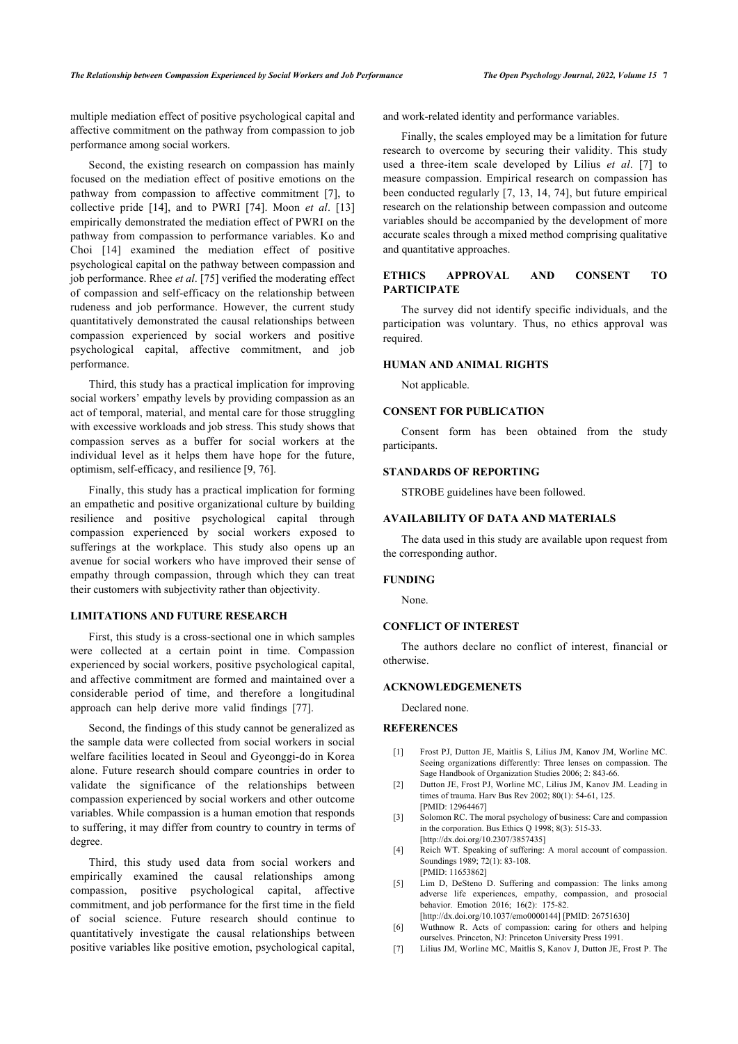multiple mediation effect of positive psychological capital and affective commitment on the pathway from compassion to job performance among social workers.

Second, the existing research on compassion has mainly focused on the mediation effect of positive emotions on the pathway from compassion to affective commitment[[7](#page-6-6)], to collective pride [\[14](#page-7-13)], and to PWRI [\[74](#page-8-16)]. Moon *et al*.[[13](#page-7-5)] empirically demonstrated the mediation effect of PWRI on the pathway from compassion to performance variables. Ko and Choi [\[14\]](#page-7-13) examined the mediation effect of positive psychological capital on the pathway between compassion and job performance. Rhee *et al*. [[75\]](#page-8-17) verified the moderating effect of compassion and self-efficacy on the relationship between rudeness and job performance. However, the current study quantitatively demonstrated the causal relationships between compassion experienced by social workers and positive psychological capital, affective commitment, and job performance.

Third, this study has a practical implication for improving social workers' empathy levels by providing compassion as an act of temporal, material, and mental care for those struggling with excessive workloads and job stress. This study shows that compassion serves as a buffer for social workers at the individual level as it helps them have hope for the future, optimism, self-efficacy, and resilience [[9](#page-7-1), [76\]](#page-8-18).

Finally, this study has a practical implication for forming an empathetic and positive organizational culture by building resilience and positive psychological capital through compassion experienced by social workers exposed to sufferings at the workplace. This study also opens up an avenue for social workers who have improved their sense of empathy through compassion, through which they can treat their customers with subjectivity rather than objectivity.

## **LIMITATIONS AND FUTURE RESEARCH**

First, this study is a cross-sectional one in which samples were collected at a certain point in time. Compassion experienced by social workers, positive psychological capital, and affective commitment are formed and maintained over a considerable period of time, and therefore a longitudinal approach can help derive more valid findings[[77\]](#page-8-19).

<span id="page-6-1"></span><span id="page-6-0"></span>Second, the findings of this study cannot be generalized as the sample data were collected from social workers in social welfare facilities located in Seoul and Gyeonggi-do in Korea alone. Future research should compare countries in order to validate the significance of the relationships between compassion experienced by social workers and other outcome variables. While compassion is a human emotion that responds to suffering, it may differ from country to country in terms of degree.

<span id="page-6-6"></span><span id="page-6-5"></span><span id="page-6-4"></span><span id="page-6-3"></span><span id="page-6-2"></span>Third, this study used data from social workers and empirically examined the causal relationships among compassion, positive psychological capital, affective commitment, and job performance for the first time in the field of social science. Future research should continue to quantitatively investigate the causal relationships between positive variables like positive emotion, psychological capital, and work-related identity and performance variables.

Finally, the scales employed may be a limitation for future research to overcome by securing their validity. This study used a three-item scale developed by Lilius *et al*.[[7](#page-6-6)] to measure compassion. Empirical research on compassion has been conducted regularly [[7](#page-6-6), [13,](#page-7-5) [14](#page-7-13), [74](#page-8-16)], but future empirical research on the relationship between compassion and outcome variables should be accompanied by the development of more accurate scales through a mixed method comprising qualitative and quantitative approaches.

## **ETHICS APPROVAL AND CONSENT TO PARTICIPATE**

The survey did not identify specific individuals, and the participation was voluntary. Thus, no ethics approval was required.

## **HUMAN AND ANIMAL RIGHTS**

Not applicable.

## **CONSENT FOR PUBLICATION**

Consent form has been obtained from the study participants.

## **STANDARDS OF REPORTING**

STROBE guidelines have been followed.

## **AVAILABILITY OF DATA AND MATERIALS**

The data used in this study are available upon request from the corresponding author.

#### **FUNDING**

None.

## **CONFLICT OF INTEREST**

The authors declare no conflict of interest, financial or otherwise.

## **ACKNOWLEDGEMENETS**

Declared none.

# **REFERENCES**

- [1] Frost PJ, Dutton JE, Maitlis S, Lilius JM, Kanov JM, Worline MC. Seeing organizations differently: Three lenses on compassion. The Sage Handbook of Organization Studies 2006; 2: 843-66.
- [2] Dutton JE, Frost PJ, Worline MC, Lilius JM, Kanov JM. Leading in times of trauma. Harv Bus Rev 2002; 80(1): 54-61, 125. [PMID: [12964467\]](http://www.ncbi.nlm.nih.gov/pubmed/12964467)
- [3] Solomon RC. The moral psychology of business: Care and compassion in the corporation. Bus Ethics Q 1998; 8(3): 515-33. [\[http://dx.doi.org/10.2307/3857435\]](http://dx.doi.org/10.2307/3857435)
- [4] Reich WT. Speaking of suffering: A moral account of compassion. Soundings 1989; 72(1): 83-108. [PMID: [11653862\]](http://www.ncbi.nlm.nih.gov/pubmed/11653862)
- [5] Lim D, DeSteno D. Suffering and compassion: The links among adverse life experiences, empathy, compassion, and prosocial behavior. Emotion 2016; 16(2): 175-82.
- [\[http://dx.doi.org/10.1037/emo0000144](http://dx.doi.org/10.1037/emo0000144)] [PMID: [26751630\]](http://www.ncbi.nlm.nih.gov/pubmed/26751630) [6] Wuthnow R. Acts of compassion: caring for others and helping
- ourselves. Princeton, NJ: Princeton University Press 1991.
- [7] Lilius JM, Worline MC, Maitlis S, Kanov J, Dutton JE, Frost P. The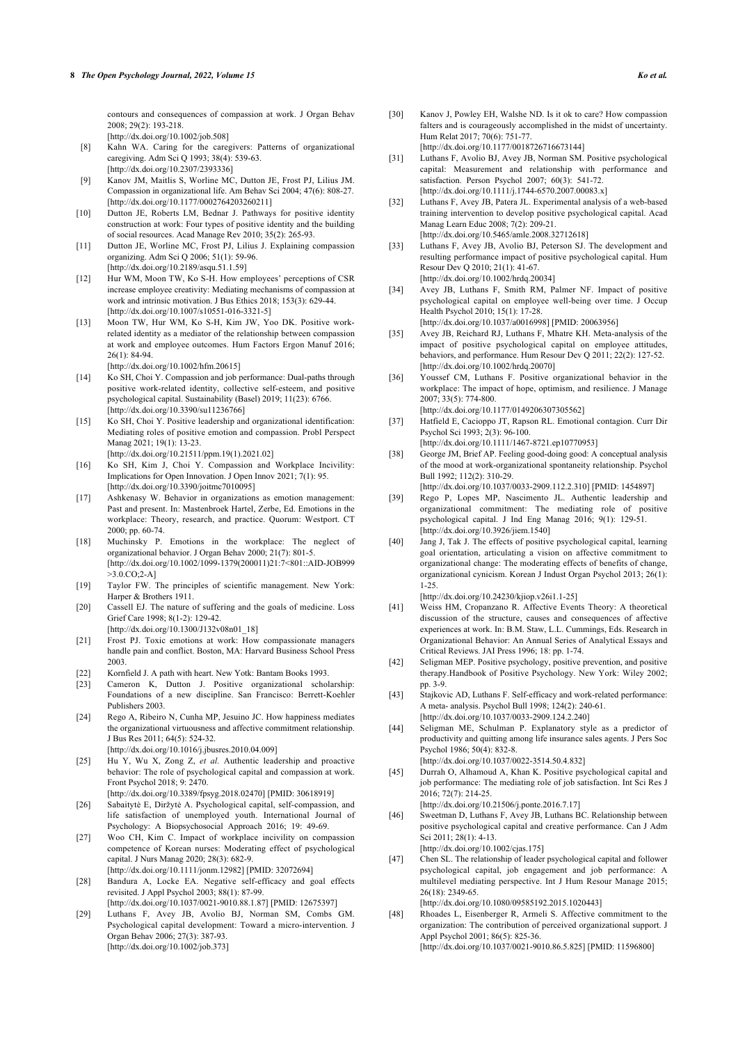contours and consequences of compassion at work. J Organ Behav 2008; 29(2): 193-218.

[\[http://dx.doi.org/10.1002/job.508](http://dx.doi.org/10.1002/job.508)]

- <span id="page-7-26"></span><span id="page-7-0"></span>[8] Kahn WA. Caring for the caregivers: Patterns of organizational caregiving. Adm Sci Q 1993; 38(4): 539-63. [\[http://dx.doi.org/10.2307/2393336\]](http://dx.doi.org/10.2307/2393336)
- <span id="page-7-1"></span>[9] Kanov JM, Maitlis S, Worline MC, Dutton JE, Frost PJ, Lilius JM. Compassion in organizational life. Am Behav Sci 2004; 47(6): 808-27. [\[http://dx.doi.org/10.1177/0002764203260211](http://dx.doi.org/10.1177/0002764203260211)]
- <span id="page-7-2"></span>[10] Dutton JE, Roberts LM, Bednar J. Pathways for positive identity construction at work: Four types of positive identity and the building of social resources. Acad Manage Rev 2010; 35(2): 265-93.
- <span id="page-7-3"></span>[11] Dutton JE, Worline MC, Frost PJ, Lilius J. Explaining compassion organizing. Adm Sci Q 2006; 51(1): 59-96. [\[http://dx.doi.org/10.2189/asqu.51.1.59\]](http://dx.doi.org/10.2189/asqu.51.1.59)
- <span id="page-7-4"></span>[12] Hur WM, Moon TW, Ko S-H. How employees' perceptions of CSR increase employee creativity: Mediating mechanisms of compassion at work and intrinsic motivation. J Bus Ethics 2018; 153(3): 629-44. [\[http://dx.doi.org/10.1007/s10551-016-3321-5](http://dx.doi.org/10.1007/s10551-016-3321-5)]
- <span id="page-7-18"></span><span id="page-7-5"></span>[13] Moon TW, Hur WM, Ko S-H, Kim JW, Yoo DK. Positive workrelated identity as a mediator of the relationship between compassion at work and employee outcomes. Hum Factors Ergon Manuf 2016; 26(1): 84-94.

[\[http://dx.doi.org/10.1002/hfm.20615\]](http://dx.doi.org/10.1002/hfm.20615)

- <span id="page-7-13"></span>[14] Ko SH, Choi Y. Compassion and job performance: Dual-paths through positive work-related identity, collective self-esteem, and positive psychological capital. Sustainability (Basel) 2019; 11(23): 6766. [\[http://dx.doi.org/10.3390/su11236766](http://dx.doi.org/10.3390/su11236766)]
- <span id="page-7-19"></span>[15] Ko SH, Choi Y. Positive leadership and organizational identification: Mediating roles of positive emotion and compassion. Probl Perspect Manag 2021; 19(1): 13-23.
- <span id="page-7-20"></span><span id="page-7-6"></span>[\[http://dx.doi.org/10.21511/ppm.19\(1\).2021.02\]](http://dx.doi.org/10.21511/ppm.19(1).2021.02) [16] Ko SH, Kim J, Choi Y. Compassion and Workplace Incivility: Implications for Open Innovation. J Open Innov 2021; 7(1): 95. [\[http://dx.doi.org/10.3390/joitmc7010095\]](http://dx.doi.org/10.3390/joitmc7010095)
- <span id="page-7-7"></span>[17] Ashkenasy W. Behavior in organizations as emotion management: Past and present. In: Mastenbroek Hartel, Zerbe, Ed. Emotions in the workplace: Theory, research, and practice. Quorum: Westport. CT 2000; pp. 60-74.
- <span id="page-7-21"></span>[18] Muchinsky P. Emotions in the workplace: The neglect of organizational behavior. J Organ Behav 2000; 21(7): 801-5. [\[http://dx.doi.org/10.1002/1099-1379\(200011\)21:7<801::AID-JOB999](http://dx.doi.org/10.1002/1099-1379(200011)21:7<801::AID-JOB999>3.0.CO;2-A)  $>3.0$ .CO;2-A]
- <span id="page-7-8"></span>[19] Taylor FW. The principles of scientific management. New York: Harper & Brothers 1911.
- <span id="page-7-9"></span>[20] Cassell EJ. The nature of suffering and the goals of medicine. Loss Grief Care 1998; 8(1-2): 129-42.
- [\[http://dx.doi.org/10.1300/J132v08n01\\_18\]](http://dx.doi.org/10.1300/J132v08n01_18)
- <span id="page-7-10"></span>[21] Frost PJ. Toxic emotions at work: How compassionate managers handle pain and conflict. Boston, MA: Harvard Business School Press 2003.
- <span id="page-7-22"></span><span id="page-7-11"></span>[22] Kornfield J. A path with heart. New Yotk: Bantam Books 1993.
- <span id="page-7-23"></span><span id="page-7-12"></span>[23] Cameron K, Dutton J. Positive organizational scholarship: Foundations of a new discipline. San Francisco: Berrett-Koehler Publishers 2003.
- <span id="page-7-24"></span><span id="page-7-14"></span>[24] Rego A, Ribeiro N, Cunha MP, Jesuino JC. How happiness mediates the organizational virtuousness and affective commitment relationship. J Bus Res 2011; 64(5): 524-32.
	- [\[http://dx.doi.org/10.1016/j.jbusres.2010.04.009](http://dx.doi.org/10.1016/j.jbusres.2010.04.009)]
- [25] Hu Y, Wu X, Zong Z, *et al.* Authentic leadership and proactive behavior: The role of psychological capital and compassion at work. Front Psychol 2018; 9: 2470. [\[http://dx.doi.org/10.3389/fpsyg.2018.02470\]](http://dx.doi.org/10.3389/fpsyg.2018.02470) [PMID: [30618919](http://www.ncbi.nlm.nih.gov/pubmed/30618919)]
- [26] Sabaitytė E, Diržytė A. Psychological capital, self-compassion, and life satisfaction of unemployed youth. International Journal of Psychology: A Biopsychosocial Approach 2016; 19: 49-69.
- <span id="page-7-15"></span>[27] Woo CH, Kim C. Impact of workplace incivility on compassion competence of Korean nurses: Moderating effect of psychological capital. J Nurs Manag 2020; 28(3): 682-9.
- <span id="page-7-25"></span><span id="page-7-16"></span>[\[http://dx.doi.org/10.1111/jonm.12982\]](http://dx.doi.org/10.1111/jonm.12982) [PMID: [32072694](http://www.ncbi.nlm.nih.gov/pubmed/32072694)] [28] Bandura A, Locke EA. Negative self-efficacy and goal effects revisited. J Appl Psychol 2003; 88(1): 87-99.
- <span id="page-7-17"></span>[\[http://dx.doi.org/10.1037/0021-9010.88.1.87](http://dx.doi.org/10.1037/0021-9010.88.1.87)] [PMID: [12675397\]](http://www.ncbi.nlm.nih.gov/pubmed/12675397) [29] Luthans F, Avey JB, Avolio BJ, Norman SM, Combs GM. Psychological capital development: Toward a micro-intervention. J Organ Behav 2006; 27(3): 387-93.
	- [\[http://dx.doi.org/10.1002/job.373](http://dx.doi.org/10.1002/job.373)]

[30] Kanov J, Powley EH, Walshe ND. Is it ok to care? How compassion falters and is courageously accomplished in the midst of uncertainty. Hum Relat 2017; 70(6): 751-77.

[\[http://dx.doi.org/10.1177/0018726716673144](http://dx.doi.org/10.1177/0018726716673144)]

- [31] Luthans F, Avolio BJ, Avey JB, Norman SM. Positive psychological capital: Measurement and relationship with performance and satisfaction. Person Psychol 2007; 60(3): 541-72. [\[http://dx.doi.org/10.1111/j.1744-6570.2007.00083.x\]](http://dx.doi.org/10.1111/j.1744-6570.2007.00083.x)
- [32] Luthans F, Avey JB, Patera JL. Experimental analysis of a web-based training intervention to develop positive psychological capital. Acad Manag Learn Educ 2008; 7(2): 209-21. [\[http://dx.doi.org/10.5465/amle.2008.32712618\]](http://dx.doi.org/10.5465/amle.2008.32712618)
- [33] Luthans F, Avey JB, Avolio BJ, Peterson SJ. The development and resulting performance impact of positive psychological capital. Hum Resour Dev Q 2010; 21(1): 41-67. [\[http://dx.doi.org/10.1002/hrdq.20034\]](http://dx.doi.org/10.1002/hrdq.20034)
- [34] Avey JB, Luthans F, Smith RM, Palmer NF. Impact of positive psychological capital on employee well-being over time. J Occup Health Psychol 2010; 15(1): 17-28.

[\[http://dx.doi.org/10.1037/a0016998](http://dx.doi.org/10.1037/a0016998)] [PMID: [20063956\]](http://www.ncbi.nlm.nih.gov/pubmed/20063956)

- [35] Avey JB, Reichard RJ, Luthans F, Mhatre KH. Meta-analysis of the impact of positive psychological capital on employee attitudes, behaviors, and performance. Hum Resour Dev Q 2011; 22(2): 127-52. [\[http://dx.doi.org/10.1002/hrdq.20070\]](http://dx.doi.org/10.1002/hrdq.20070)
- [36] Youssef CM, Luthans F. Positive organizational behavior in the workplace: The impact of hope, optimism, and resilience. J Manage 2007; 33(5): 774-800. [\[http://dx.doi.org/10.1177/0149206307305562](http://dx.doi.org/10.1177/0149206307305562)]
- [37] Hatfield E, Cacioppo JT, Rapson RL. Emotional contagion. Curr Dir Psychol Sci 1993; 2(3): 96-100.
- [\[http://dx.doi.org/10.1111/1467-8721.ep10770953](http://dx.doi.org/10.1111/1467-8721.ep10770953)]
- [38] George JM, Brief AP. Feeling good-doing good: A conceptual analysis of the mood at work-organizational spontaneity relationship. Psychol Bull 1992; 112(2): 310-29.

[\[http://dx.doi.org/10.1037/0033-2909.112.2.310\]](http://dx.doi.org/10.1037/0033-2909.112.2.310) [PMID: [1454897\]](http://www.ncbi.nlm.nih.gov/pubmed/1454897)

- [39] Rego P, Lopes MP, Nascimento JL. Authentic leadership and organizational commitment: The mediating role of positive psychological capital. J Ind Eng Manag 2016; 9(1): 129-51. [\[http://dx.doi.org/10.3926/jiem.1540\]](http://dx.doi.org/10.3926/jiem.1540)
- [40] Jang J, Tak J. The effects of positive psychological capital, learning goal orientation, articulating a vision on affective commitment to organizational change: The moderating effects of benefits of change, organizational cynicism. Korean J Indust Organ Psychol 2013; 26(1): 1-25.

[\[http://dx.doi.org/10.24230/kjiop.v26i1.1-25\]](http://dx.doi.org/10.24230/kjiop.v26i1.1-25)

- [41] Weiss HM, Cropanzano R. Affective Events Theory: A theoretical discussion of the structure, causes and consequences of affective experiences at work. In: B.M. Staw, L.L. Cummings, Eds. Research in Organizational Behavior: An Annual Series of Analytical Essays and Critical Reviews. JAI Press 1996; 18: pp. 1-74.
- [42] Seligman MEP. Positive psychology, positive prevention, and positive therapy.Handbook of Positive Psychology. New York: Wiley 2002; pp. 3-9.
- [43] Stajkovic AD, Luthans F. Self-efficacy and work-related performance: A meta- analysis. Psychol Bull 1998; 124(2): 240-61. [\[http://dx.doi.org/10.1037/0033-2909.124.2.240\]](http://dx.doi.org/10.1037/0033-2909.124.2.240)
- [44] Seligman ME, Schulman P. Explanatory style as a predictor of productivity and quitting among life insurance sales agents. J Pers Soc Psychol 1986; 50(4): 832-8.

[\[http://dx.doi.org/10.1037/0022-3514.50.4.832](http://dx.doi.org/10.1037/0022-3514.50.4.832)]

[45] Durrah O, Alhamoud A, Khan K. Positive psychological capital and job performance: The mediating role of job satisfaction. Int Sci Res J 2016; 72(7): 214-25.

[\[http://dx.doi.org/10.21506/j.ponte.2016.7.17\]](http://dx.doi.org/10.21506/j.ponte.2016.7.17)

[46] Sweetman D, Luthans F, Avey JB, Luthans BC. Relationship between positive psychological capital and creative performance. Can J Adm Sci 2011; 28(1): 4-13. [\[http://dx.doi.org/10.1002/cjas.175\]](http://dx.doi.org/10.1002/cjas.175)

[47] Chen SL. The relationship of leader psychological capital and follower

psychological capital, job engagement and job performance: A multilevel mediating perspective. Int J Hum Resour Manage 2015; 26(18): 2349-65.

[\[http://dx.doi.org/10.1080/09585192.2015.1020443](http://dx.doi.org/10.1080/09585192.2015.1020443)]

[48] Rhoades L, Eisenberger R, Armeli S. Affective commitment to the organization: The contribution of perceived organizational support. J Appl Psychol 2001; 86(5): 825-36. [\[http://dx.doi.org/10.1037/0021-9010.86.5.825](http://dx.doi.org/10.1037/0021-9010.86.5.825)] [PMID: [11596800\]](http://www.ncbi.nlm.nih.gov/pubmed/11596800)